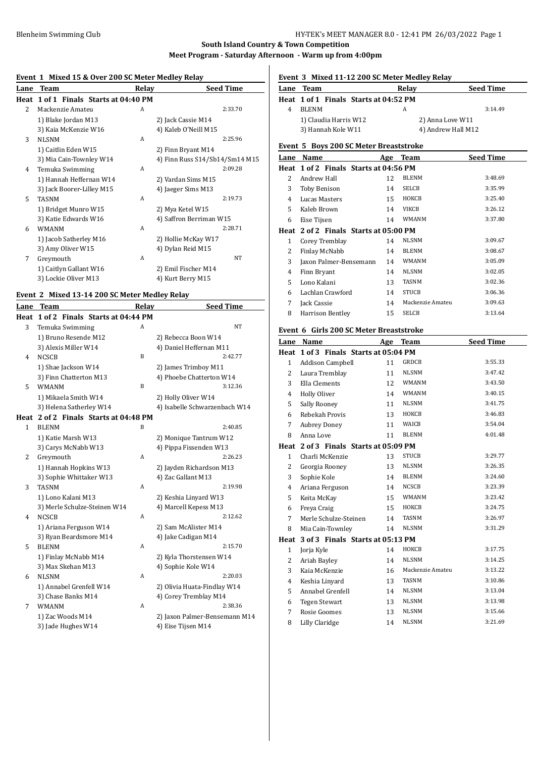## **Event 1 Mixed 15 & Over 200 SC Meter Medley Relay**

|                | EVENT 1 MIACU 15 & OVER 200 SC METER MEUTEV REIAV |       |                                |
|----------------|---------------------------------------------------|-------|--------------------------------|
| Lane           | Team                                              | Relay | <b>Seed Time</b>               |
|                | Heat 1 of 1 Finals Starts at 04:40 PM             |       |                                |
| $\overline{2}$ | Mackenzie Amateu                                  | A     | 2:33.70                        |
|                | 1) Blake Jordan M13                               |       | 2) Jack Cassie M14             |
|                | 3) Kaia McKenzie W16                              |       | 4) Kaleb O'Neill M15           |
| 3              | <b>NLSNM</b>                                      | A     | 2:25.96                        |
|                | 1) Caitlin Eden W15                               |       | 2) Finn Bryant M14             |
|                | 3) Mia Cain-Townley W14                           |       | 4) Finn Russ S14/Sb14/Sm14 M15 |
| 4              | Temuka Swimming                                   | A     | 2:09.28                        |
|                | 1) Hannah Heffernan W14                           |       | 2) Vardan Sims M15             |
|                | 3) Jack Boorer-Lilley M15                         |       | 4) Jaeger Sims M13             |
| 5.             | <b>TASNM</b>                                      | A     | 2:19.73                        |
|                | 1) Bridget Munro W15                              |       | 2) Mya Ketel W15               |
|                | 3) Katie Edwards W16                              |       | 4) Saffron Berriman W15        |
| 6              | <b>WMANM</b>                                      | A     | 2:28.71                        |
|                | 1) Jacob Satherley M16                            |       | 2) Hollie McKay W17            |
|                | 3) Amy Oliver W15                                 |       | 4) Dylan Reid M15              |
| 7              | Greymouth                                         | A     | NT                             |
|                | 1) Caitlyn Gallant W16                            |       | 2) Emil Fischer M14            |
|                | 3) Lockie Oliver M13                              |       | 4) Kurt Berry M15              |
|                |                                                   |       |                                |

## **Event 2 Mixed 13-14 200 SC Meter Medley Relay**

| Lane         | Team                                  | Relay | <b>Seed Time</b>              |
|--------------|---------------------------------------|-------|-------------------------------|
| Heat         | 1 of 2 Finals Starts at 04:44 PM      |       |                               |
| 3            | Temuka Swimming                       | A     | <b>NT</b>                     |
|              | 1) Bruno Resende M12                  |       | 2) Rebecca Boon W14           |
|              | 3) Alexis Miller W14                  |       | 4) Daniel Heffernan M11       |
| 4            | <b>NCSCB</b>                          | B     | 2:42.77                       |
|              | 1) Shae Jackson W14                   |       | 2) James Trimboy M11          |
|              | 3) Finn Chatterton M13                |       | 4) Phoebe Chatterton W14      |
| 5            | <b>WMANM</b>                          | B     | 3:12.36                       |
|              | 1) Mikaela Smith W14                  |       | 2) Holly Oliver W14           |
|              | 3) Helena Satherley W14               |       | 4) Isabelle Schwarzenbach W14 |
|              | Heat 2 of 2 Finals Starts at 04:48 PM |       |                               |
| $\mathbf{1}$ | <b>BLENM</b>                          | B     | 2:40.85                       |
|              | 1) Katie Marsh W13                    |       | 2) Monique Tantrum W12        |
|              | 3) Carys McNabb W13                   |       | 4) Pippa Fissenden W13        |
| 2            | Greymouth                             | A     | 2:26.23                       |
|              | 1) Hannah Hopkins W13                 |       | 2) Jayden Richardson M13      |
|              | 3) Sophie Whittaker W13               |       | 4) Zac Gallant M13            |
| 3            | <b>TASNM</b>                          | A     | 2:19.98                       |
|              | 1) Lono Kalani M13                    |       | 2) Keshia Linyard W13         |
|              | 3) Merle Schulze-Steinen W14          |       | 4) Marcell Kepess M13         |
| 4            | <b>NCSCB</b>                          | A     | 2:12.62                       |
|              | 1) Ariana Ferguson W14                |       | 2) Sam McAlister M14          |
|              | 3) Ryan Beardsmore M14                |       | 4) Jake Cadigan M14           |
| 5            | <b>BLENM</b>                          | A     | 2:15.70                       |
|              | 1) Finlay McNabb M14                  |       | 2) Kyla Thorstensen W14       |
|              | 3) Max Skehan M13                     |       | 4) Sophie Kole W14            |
| 6            | <b>NLSNM</b>                          | A     | 2:20.03                       |
|              | 1) Annabel Grenfell W14               |       | 2) Olivia Huata-Findlay W14   |
|              | 3) Chase Banks M14                    |       | 4) Corey Tremblay M14         |
| 7            | <b>WMANM</b>                          | A     | 2:38.36                       |
|              | 1) Zac Woods M14                      |       | 2) Jaxon Palmer-Bensemann M14 |
|              | 3) Jade Hughes W14                    |       | 4) Eise Tijsen M14            |

# **Event 3 Mixed 11-12 200 SC Meter Medley Relay**

| <b>Lane Team</b>                      | Relav | <b>Seed Time</b>   |
|---------------------------------------|-------|--------------------|
| Heat 1 of 1 Finals Starts at 04:52 PM |       |                    |
| <b>BLENM</b>                          |       | 3:14.49            |
| 1) Claudia Harris W12                 |       | 2) Anna Love W11   |
| 3) Hannah Kole W11                    |       | 4) Andrew Hall M12 |

## **Event 5 Boys 200 SC Meter Breaststroke**

| Lane | Name                                  | Age | Team             | <b>Seed Time</b> |
|------|---------------------------------------|-----|------------------|------------------|
|      | Heat 1 of 2 Finals Starts at 04:56 PM |     |                  |                  |
| 2    | Andrew Hall                           | 12  | <b>BLENM</b>     | 3:48.69          |
| 3    | Toby Benison                          | 14  | <b>SELCB</b>     | 3:35.99          |
| 4    | Lucas Masters                         | 15  | HOKCB            | 3:25.40          |
| 5.   | Kaleb Brown                           | 14  | <b>VIKCB</b>     | 3:26.12          |
| 6    | Eise Tijsen                           | 14  | <b>WMANM</b>     | 3:37.80          |
|      | Heat 2 of 2 Finals Starts at 05:00 PM |     |                  |                  |
| 1    | Corey Tremblay                        | 14  | <b>NLSNM</b>     | 3:09.67          |
| 2    | Finlay McNabb                         | 14  | <b>BLENM</b>     | 3:08.67          |
| 3    | Jaxon Palmer-Bensemann                | 14  | <b>WMANM</b>     | 3:05.09          |
| 4    | Finn Bryant                           | 14  | <b>NLSNM</b>     | 3:02.05          |
| 5    | Lono Kalani                           | 13  | <b>TASNM</b>     | 3:02.36          |
| 6    | Lachlan Crawford                      | 14  | <b>STUCB</b>     | 3:06.36          |
| 7    | Jack Cassie                           | 14  | Mackenzie Amateu | 3:09.63          |
| 8    | Harrison Bentley                      | 15  | <b>SELCB</b>     | 3:13.64          |

### **Event 6 Girls 200 SC Meter Breaststroke**

| Lane           | Name                                  | Age | Team             | <b>Seed Time</b> |
|----------------|---------------------------------------|-----|------------------|------------------|
|                | Heat 1 of 3 Finals Starts at 05:04 PM |     |                  |                  |
| $\mathbf{1}$   | <b>Addison Campbell</b>               | 11  | <b>GRDCB</b>     | 3:55.33          |
| $\overline{c}$ | Laura Tremblay                        | 11  | <b>NLSNM</b>     | 3:47.42          |
| 3              | Ella Clements                         | 12  | <b>WMANM</b>     | 3:43.50          |
| 4              | <b>Holly Oliver</b>                   | 14  | <b>WMANM</b>     | 3:40.15          |
| 5              | Sally Rooney                          | 11  | <b>NLSNM</b>     | 3:41.75          |
| 6              | Rebekah Provis                        | 13  | HOKCB            | 3:46.83          |
| 7              | <b>Aubrey Doney</b>                   | 11  | WAICB            | 3:54.04          |
| 8              | Anna Love                             | 11  | <b>BLENM</b>     | 4:01.48          |
|                | Heat 2 of 3 Finals Starts at 05:09 PM |     |                  |                  |
| $\mathbf{1}$   | Charli McKenzie                       | 13  | <b>STUCB</b>     | 3:29.77          |
| 2              | Georgia Rooney                        | 13  | <b>NLSNM</b>     | 3:26.35          |
| 3              | Sophie Kole                           | 14  | <b>BLENM</b>     | 3:24.60          |
| 4              | Ariana Ferguson                       | 14  | <b>NCSCB</b>     | 3:23.39          |
| 5              | Keita McKay                           | 15  | <b>WMANM</b>     | 3:23.42          |
| 6              | Freya Craig                           | 15  | НОКСВ            | 3:24.75          |
| 7              | Merle Schulze-Steinen                 | 14  | <b>TASNM</b>     | 3:26.97          |
| 8              | Mia Cain-Townley                      | 14  | <b>NLSNM</b>     | 3:31.29          |
|                | Heat 3 of 3 Finals Starts at 05:13 PM |     |                  |                  |
| 1              | Jorja Kyle                            | 14  | HOKCB            | 3:17.75          |
| 2              | Ariah Bayley                          | 14  | <b>NLSNM</b>     | 3:14.25          |
| 3              | Kaia McKenzie                         | 16  | Mackenzie Amateu | 3:13.22          |
| $\overline{4}$ | Keshia Linyard                        | 13  | <b>TASNM</b>     | 3:10.86          |
| 5              | Annabel Grenfell                      | 14  | <b>NLSNM</b>     | 3:13.04          |
| 6              | <b>Tegen Stewart</b>                  | 13  | <b>NLSNM</b>     | 3:13.98          |
| 7              | Rosie Goomes                          | 13  | <b>NLSNM</b>     | 3:15.66          |
| 8              | Lilly Claridge                        | 14  | <b>NLSNM</b>     | 3:21.69          |
|                |                                       |     |                  |                  |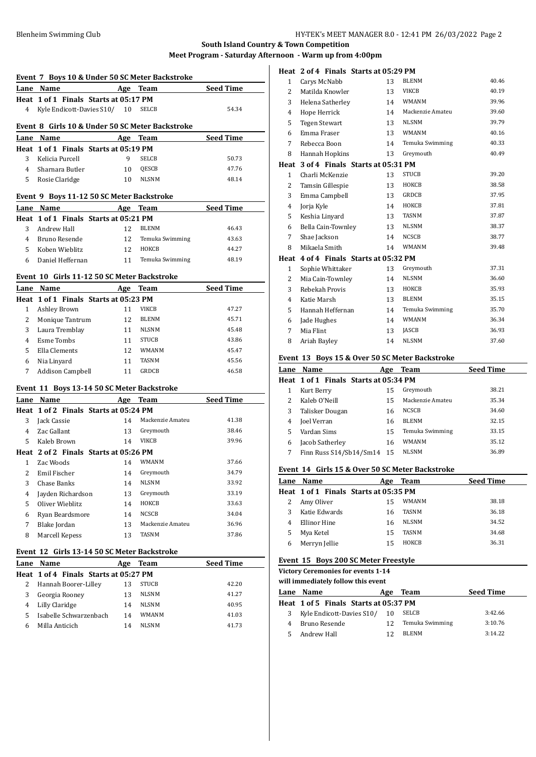|                | Event 7 Boys 10 & Under 50 SC Meter Backstroke  |     |                       |                  |
|----------------|-------------------------------------------------|-----|-----------------------|------------------|
|                | Lane Name                                       |     | Age Team              | <b>Seed Time</b> |
|                | Heat 1 of 1 Finals Starts at 05:17 PM           |     |                       |                  |
| 4              | Kyle Endicott-Davies S10/ 10                    |     | SELCB                 | 54.34            |
|                |                                                 |     |                       |                  |
|                | Event 8 Girls 10 & Under 50 SC Meter Backstroke |     |                       |                  |
|                | Lane Name                                       |     | Age Team              | <b>Seed Time</b> |
|                | Heat 1 of 1 Finals Starts at 05:19 PM           |     |                       |                  |
| 3              | Kelicia Purcell                                 | 9   | <b>SELCB</b>          | 50.73            |
| 4              | Sharnara Butler                                 | 10  | QESCB                 | 47.76            |
| 5              | Rosie Claridge                                  | 10  | <b>NLSNM</b>          | 48.14            |
|                | Event 9 Boys 11-12 50 SC Meter Backstroke       |     |                       |                  |
|                | Lane Name                                       |     | Age Team              | <b>Seed Time</b> |
|                | Heat 1 of 1 Finals Starts at 05:21 PM           |     |                       |                  |
| 3              | Andrew Hall                                     | 12  | <b>BLENM</b>          | 46.43            |
| 4              | Bruno Resende                                   | 12  | Temuka Swimming       | 43.63            |
| 5              | Koben Wieblitz                                  | 12  | HOKCB                 | 44.27            |
| 6              | Daniel Heffernan                                | 11  | Temuka Swimming       | 48.19            |
|                | Event 10 Girls 11-12 50 SC Meter Backstroke     |     |                       |                  |
|                |                                                 |     |                       |                  |
|                | Lane Name                                       |     | Age Team              | <b>Seed Time</b> |
|                | Heat 1 of 1 Finals Starts at 05:23 PM           |     | <b>VIKCB</b>          | 47.27            |
| $\mathbf{1}$   | <b>Ashley Brown</b>                             | 11  |                       | 45.71            |
| $\overline{2}$ | Monique Tantrum                                 | 12  | <b>BLENM</b>          | 45.48            |
| 3              | Laura Tremblay                                  | 11  | <b>NLSNM</b>          |                  |
| 4              | <b>Esme Tombs</b>                               | 11  | <b>STUCB</b>          | 43.86            |
| 5              | Ella Clements                                   | 12  | <b>WMANM</b>          | 45.47            |
| 6              | Nia Linyard                                     | 11  | <b>TASNM</b><br>GRDCB | 45.56<br>46.58   |
| 7              | <b>Addison Campbell</b>                         | 11  |                       |                  |
|                | Event 11 Boys 13-14 50 SC Meter Backstroke      |     |                       |                  |
|                | Lane Name                                       |     | Age Team              | <b>Seed Time</b> |
|                | Heat 1 of 2 Finals Starts at 05:24 PM           |     |                       |                  |
| 3              | Jack Cassie                                     | 14  | Mackenzie Amateu      | 41.38            |
| 4              | Zac Gallant                                     | 13  | Greymouth             | 38.46            |
| 5              | Kaleb Brown                                     | 14  | VIKCB                 | 39.96            |
|                | Heat 2 of 2 Finals Starts at 05:26 PM           |     |                       |                  |
| 1              | Zac Woods                                       | 14  | <b>WMANM</b>          | 37.66            |
| 2              | Emil Fischer                                    | 14  | Greymouth             | 34.79            |
| 3              | Chase Banks                                     | 14  | NLSNM                 | 33.92            |
| 4              | Jayden Richardson                               | 13  | Greymouth             | 33.19            |
| 5              | Oliver Wieblitz                                 | 14  | НОКСВ                 | 33.63            |
| 6              | Ryan Beardsmore                                 | 14  | NCSCB                 | 34.04            |
| 7              | Blake Jordan                                    | 13  | Mackenzie Amateu      | 36.96            |
| 8              | Marcell Kepess                                  | 13  | TASNM                 | 37.86            |
|                | Event 12 Girls 13-14 50 SC Meter Backstroke     |     |                       |                  |
|                | Lane Name                                       | Age | <b>Team</b>           | <b>Seed Time</b> |
|                | Heat 1 of 4 Finals Starts at 05:27 PM           |     |                       |                  |
| 2              | Hannah Boorer-Lilley                            | 13  | STUCB                 | 42.20            |
| 3              | Georgia Rooney                                  | 13  | NLSNM                 | 41.27            |
| $\overline{4}$ | Lilly Claridge                                  | 14  | NLSNM                 | 40.95            |

 Isabelle Schwarzenbach 14 WMANM 41.03 Milla Anticich 14 NLSNM 41.73

|                |                      | Heat 2 of 4 Finals Starts at 05:29 PM |
|----------------|----------------------|---------------------------------------|
| 1              | Carys McNabb         | <b>BLENM</b><br>40.46<br>13           |
| $\overline{2}$ | Matilda Knowler      | 40.19<br><b>VIKCB</b><br>13           |
| 3              | Helena Satherley     | <b>WMANM</b><br>39.96<br>14           |
| 4              | Hope Herrick         | 39.60<br>14<br>Mackenzie Amateu       |
| 5              | <b>Tegen Stewart</b> | <b>NLSNM</b><br>39.79<br>13           |
| 6              | Emma Fraser          | <b>WMANM</b><br>40.16<br>13           |
| 7              | Rebecca Boon         | 40.33<br>14<br>Temuka Swimming        |
| 8              | Hannah Hopkins       | Greymouth<br>40.49<br>13              |
| Heat           |                      | 3 of 4 Finals Starts at 05:31 PM      |
| $\mathbf{1}$   | Charli McKenzie      | <b>STUCB</b><br>39.20<br>13           |
| 2              | Tamsin Gillespie     | НОКСВ<br>38.58<br>13                  |
| 3              | Emma Campbell        | 37.95<br><b>GRDCB</b><br>13           |
| $\overline{4}$ | Jorja Kyle           | HOKCB<br>37.81<br>14                  |
| 5              | Keshia Linyard       | <b>TASNM</b><br>37.87<br>13           |
| 6              | Bella Cain-Townley   | <b>NLSNM</b><br>38.37<br>13           |
| 7              | Shae Jackson         | <b>NCSCB</b><br>38.77<br>14           |
| 8              | Mikaela Smith        | <b>WMANM</b><br>39.48<br>14           |
|                |                      | Heat 4 of 4 Finals Starts at 05:32 PM |
| 1              | Sophie Whittaker     | 13<br>37.31<br>Greymouth              |
| $\overline{c}$ | Mia Cain-Townley     | 36.60<br><b>NLSNM</b><br>14           |
| 3              | Rebekah Provis       | HOKCB<br>35.93<br>13                  |
| 4              | Katie Marsh          | <b>BLENM</b><br>35.15<br>13           |
| 5              | Hannah Heffernan     | Temuka Swimming<br>35.70<br>14        |
| 6              | Jade Hughes          | WMANM<br>36.34<br>14                  |
| 7              | Mia Flint            | 36.93<br>13<br><b>JASCB</b>           |
| 8              | Ariah Bayley         | <b>NLSNM</b><br>37.60<br>14           |

## **Event 13 Boys 15 & Over 50 SC Meter Backstroke**

|   | Lane Name                             | Age  | Team             | <b>Seed Time</b> |
|---|---------------------------------------|------|------------------|------------------|
|   | Heat 1 of 1 Finals Starts at 05:34 PM |      |                  |                  |
|   | Kurt Berry                            | 15   | Greymouth        | 38.21            |
|   | Kaleb O'Neill                         | 15   | Mackenzie Amateu | 35.34            |
| 3 | Talisker Dougan                       | 16   | <b>NCSCB</b>     | 34.60            |
| 4 | <b>Joel Verran</b>                    | 16   | <b>BLENM</b>     | 32.15            |
|   | Vardan Sims                           | 15   | Temuka Swimming  | 33.15            |
| 6 | Jacob Satherley                       | 16   | WMANM            | 35.12            |
|   | Finn Russ S14/Sb14/Sm14               | - 15 | <b>NLSNM</b>     | 36.89            |
|   |                                       |      |                  |                  |

## **Event 14 Girls 15 & Over 50 SC Meter Backstroke**

|   | Lane Name                             | Age | Team         | <b>Seed Time</b> |
|---|---------------------------------------|-----|--------------|------------------|
|   | Heat 1 of 1 Finals Starts at 05:35 PM |     |              |                  |
|   | Amy Oliver                            | 15  | WMANM        | 38.18            |
|   | Katie Edwards                         | 16  | <b>TASNM</b> | 36.18            |
|   | Ellinor Hine                          | 16  | <b>NLSNM</b> | 34.52            |
|   | Mya Ketel                             | 15  | <b>TASNM</b> | 34.68            |
| 6 | Merryn Jellie                         | 15  | HOKCB        | 36.31            |
|   |                                       |     |              |                  |

### **Event 15 Boys 200 SC Meter Freestyle**

**Victory Ceremonies for events 1-14**

#### **will immediately follow this event**

|   | <u>waa aanneunately lohow tins event</u> |     |                 |                  |  |  |
|---|------------------------------------------|-----|-----------------|------------------|--|--|
|   | Lane Name                                | Age | Team            | <b>Seed Time</b> |  |  |
|   | Heat 1 of 5 Finals Starts at 05:37 PM    |     |                 |                  |  |  |
| 3 | Kyle Endicott-Davies S10/ 10             |     | SELCB           | 3:42.66          |  |  |
|   | Bruno Resende                            | 12. | Temuka Swimming | 3:10.76          |  |  |
|   | Andrew Hall                              |     | <b>BLENM</b>    | 3:14.22          |  |  |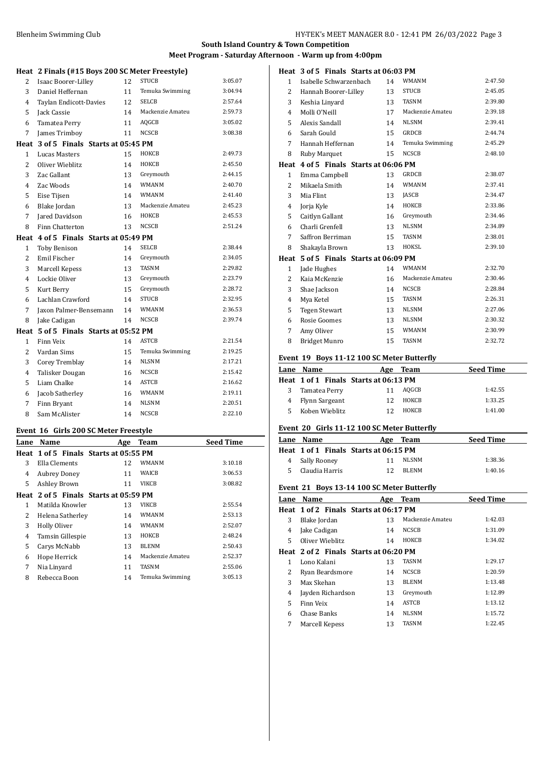### **Heat 2 Finals (#15 Boys 200 SC Meter Freestyle)**

| неат           | Z Finals (#15 Boys ZUU SC Meter Freestyle) |    |                  |         |
|----------------|--------------------------------------------|----|------------------|---------|
| 2              | Isaac Boorer-Lilley                        | 12 | <b>STUCB</b>     | 3:05.07 |
| 3              | Daniel Heffernan                           | 11 | Temuka Swimming  | 3:04.94 |
| 4              | Taylan Endicott-Davies                     | 12 | <b>SELCB</b>     | 2:57.64 |
| 5              | Jack Cassie                                | 14 | Mackenzie Amateu | 2:59.73 |
| 6              | Tamatea Perry                              | 11 | AQGCB            | 3:05.02 |
| 7              | James Trimboy                              | 11 | <b>NCSCB</b>     | 3:08.38 |
|                | Heat 3 of 5 Finals Starts at 05:45 PM      |    |                  |         |
| 1              | Lucas Masters                              | 15 | НОКСВ            | 2:49.73 |
| $\overline{c}$ | Oliver Wieblitz                            | 14 | НОКСВ            | 2:45.50 |
| 3              | Zac Gallant                                | 13 | Greymouth        | 2:44.15 |
| 4              | Zac Woods                                  | 14 | <b>WMANM</b>     | 2:40.70 |
| 5              | Eise Tijsen                                | 14 | <b>WMANM</b>     | 2:41.40 |
| 6              | Blake Jordan                               | 13 | Mackenzie Amateu | 2:45.23 |
| 7              | Jared Davidson                             | 16 | НОКСВ            | 2:45.53 |
| 8              | Finn Chatterton                            | 13 | <b>NCSCB</b>     | 2:51.24 |
|                | Heat 4 of 5 Finals Starts at 05:49 PM      |    |                  |         |
| 1              | <b>Toby Benison</b>                        | 14 | <b>SELCB</b>     | 2:38.44 |
| $\overline{2}$ | Emil Fischer                               | 14 | Greymouth        | 2:34.05 |
| 3              | Marcell Kepess                             | 13 | <b>TASNM</b>     | 2:29.82 |
| 4              | Lockie Oliver                              | 13 | Greymouth        | 2:23.79 |
| 5              | Kurt Berry                                 | 15 | Greymouth        | 2:28.72 |
| 6              | Lachlan Crawford                           | 14 | <b>STUCB</b>     | 2:32.95 |
| 7              | Jaxon Palmer-Bensemann                     | 14 | <b>WMANM</b>     | 2:36.53 |
| 8              | Jake Cadigan                               | 14 | <b>NCSCB</b>     | 2:39.74 |
| Heat           | 5 of 5 Finals Starts at 05:52 PM           |    |                  |         |
| 1              | Finn Veix                                  | 14 | <b>ASTCB</b>     | 2:21.54 |
| $\overline{2}$ | Vardan Sims                                | 15 | Temuka Swimming  | 2:19.25 |
| 3              | Corey Tremblay                             | 14 | <b>NLSNM</b>     | 2:17.21 |
| 4              | Talisker Dougan                            | 16 | <b>NCSCB</b>     | 2:15.42 |
| 5              | Liam Chalke                                | 14 | <b>ASTCB</b>     | 2:16.62 |
| 6              | Jacob Satherley                            | 16 | <b>WMANM</b>     | 2:19.11 |
| 7              | Finn Bryant                                | 14 | <b>NLSNM</b>     | 2:20.51 |
| 8              | Sam McAlister                              | 14 | <b>NCSCB</b>     | 2:22.10 |

### **Event 16 Girls 200 SC Meter Freestyle**

| Lane           | Name                |                  | Age                                   | <b>Team</b>      | <b>Seed Time</b> |
|----------------|---------------------|------------------|---------------------------------------|------------------|------------------|
|                |                     |                  | Heat 1 of 5 Finals Starts at 05:55 PM |                  |                  |
| 3              | Ella Clements       |                  | 12                                    | WMANM            | 3:10.18          |
| 4              | <b>Aubrey Doney</b> |                  | 11                                    | WAICB            | 3:06.53          |
| 5              | Ashley Brown        |                  | 11                                    | VIKCB            | 3:08.82          |
|                |                     |                  | Heat 2 of 5 Finals Starts at 05:59 PM |                  |                  |
| 1              |                     | Matilda Knowler  | 13                                    | <b>VIKCB</b>     | 2:55.54          |
| $\overline{2}$ |                     | Helena Satherley | 14                                    | WMANM            | 2:53.13          |
| 3              | Holly Oliver        |                  | 14                                    | <b>WMANM</b>     | 2:52.07          |
| 4              |                     | Tamsin Gillespie | 13                                    | ноксв            | 2:48.24          |
| 5.             | Carys McNabb        |                  | 13                                    | <b>BLENM</b>     | 2:50.43          |
| 6              | Hope Herrick        |                  | 14                                    | Mackenzie Amateu | 2:52.37          |
| 7              | Nia Linyard         |                  | 11                                    | TASNM            | 2:55.06          |
| 8              | Rebecca Boon        |                  | 14                                    | Temuka Swimming  | 3:05.13          |

## **Heat 3 of 5 Finals Starts at 06:03 PM** Isabelle Schwarzenbach 14 WMANM 2:47.50 2 Hannah Boorer-Lilley 13 STUCB 2:45.05<br>3 Keshia Linyard 13 TASNM 2:39.80 Keshia Linyard 13 TASNM 2:39.80 4 Molli O'Neill 17 Mackenzie Amateu 2:39.18<br>5 Alexis Sandall 14 NLSNM 2:39.41 Alexis Sandall 14 NLSNM 2:39.41 Sarah Gould 15 GRDCB 2:44.74 Hannah Heffernan 14 Temuka Swimming 2:45.29 8 Ruby Marquet 15 NCSCB 2:48.10 **Heat 4 of 5 Finals Starts at 06:06 PM** Emma Campbell 13 GRDCB 2:38.07 Mikaela Smith 14 WMANM 2:37.41 Mia Flint 13 JASCB 2:34.47 Jorja Kyle 14 HOKCB 2:33.86 Caitlyn Gallant 16 Greymouth 2:34.46 Charli Grenfell 13 NLSNM 2:34.89 7 Saffron Berriman 15 TASNM 2:38.01 8 Shakayla Brown 13 HOKSL 2:38.01<br>13 HOKSL 2:39.10<br>2:39.10 2:39.10 **Heat 5 of 5 Finals Starts at 06:09 PM** Jade Hughes 14 WMANM 2:32.70 2 Kaia McKenzie 16 16 Mackenzie Amateu 2:30.46<br>3 Shae Jackson 14 NCSCB 2:28.84 Shae Jackson 14 NCSCB 2:28.84 Mya Ketel 15 TASNM 2:26.31 Tegen Stewart 13 NLSNM 2:27.06 Rosie Goomes 13 NLSNM 2:30.32

#### **Event 19 Boys 11-12 100 SC Meter Butterfly**

|   | Lane Name                             | Age | Team  | <b>Seed Time</b> |
|---|---------------------------------------|-----|-------|------------------|
|   | Heat 1 of 1 Finals Starts at 06:13 PM |     |       |                  |
| 3 | Tamatea Perry                         | 11  | AOGCB | 1:42.55          |
|   | 4 Flynn Sargeant                      | 12  | ноксв | 1:33.25          |
|   | 5 Koben Wieblitz                      |     | ноксв | 1:41.00          |

 Amy Oliver 15 WMANM 2:30.99 8 Bridget Munro 15 TASNM 2:32.72

### **Event 20 Girls 11-12 100 SC Meter Butterfly**

| Lane Name        | Age Team                              | <b>Seed Time</b> |
|------------------|---------------------------------------|------------------|
|                  | Heat 1 of 1 Finals Starts at 06:15 PM |                  |
| 4 Sally Rooney   | NLSNM<br>11                           | 1:38.36          |
| 5 Claudia Harris | BLENM<br>12                           | 1:40.16          |

### **Event 21 Boys 13-14 100 SC Meter Butterfly**

| Lane | Name                                  | Age | <b>Team</b>      | <b>Seed Time</b> |
|------|---------------------------------------|-----|------------------|------------------|
|      | Heat 1 of 2 Finals Starts at 06:17 PM |     |                  |                  |
| 3    | Blake Jordan                          | 13  | Mackenzie Amateu | 1:42.03          |
| 4    | Jake Cadigan                          | 14  | <b>NCSCB</b>     | 1:31.09          |
| 5    | Oliver Wieblitz                       | 14  | HOKCB            | 1:34.02          |
|      | Heat 2 of 2 Finals Starts at 06:20 PM |     |                  |                  |
| 1    | Lono Kalani                           | 13  | <b>TASNM</b>     | 1:29.17          |
| 2    | Ryan Beardsmore                       | 14  | <b>NCSCB</b>     | 1:20.59          |
| 3    | Max Skehan                            | 13  | <b>BLENM</b>     | 1:13.48          |
| 4    | Jayden Richardson                     | 13  | Greymouth        | 1:12.89          |
| 5    | Finn Veix                             | 14  | <b>ASTCB</b>     | 1:13.12          |
| 6    | Chase Banks                           | 14  | <b>NLSNM</b>     | 1:15.72          |
| 7    | Marcell Kepess                        | 13  | <b>TASNM</b>     | 1:22.45          |
|      |                                       |     |                  |                  |